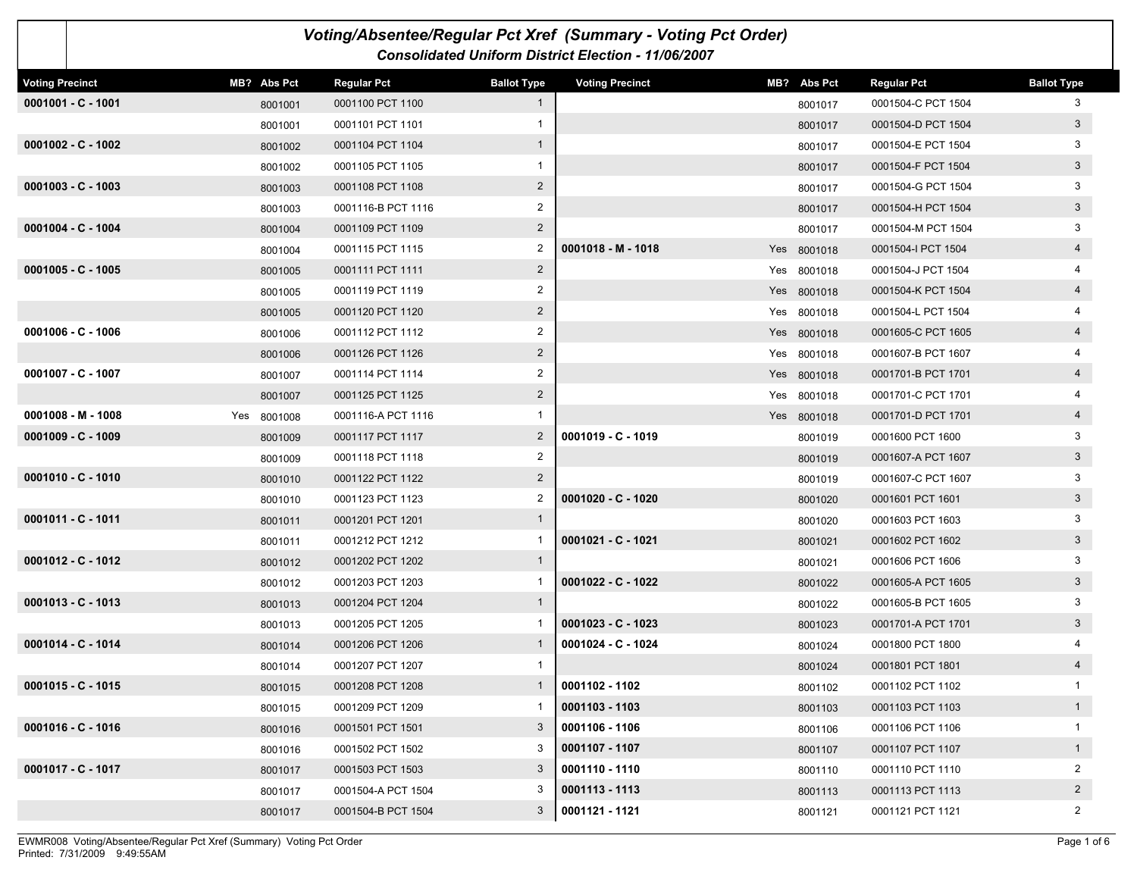| Voting/Absentee/Regular Pct Xref (Summary - Voting Pct Order)<br><b>Consolidated Uniform District Election - 11/06/2007</b> |             |             |                    |                    |                        |  |             |                    |                    |  |  |
|-----------------------------------------------------------------------------------------------------------------------------|-------------|-------------|--------------------|--------------------|------------------------|--|-------------|--------------------|--------------------|--|--|
| <b>Voting Precinct</b>                                                                                                      | MB? Abs Pct |             | <b>Regular Pct</b> | <b>Ballot Type</b> | <b>Voting Precinct</b> |  | MB? Abs Pct | <b>Regular Pct</b> | <b>Ballot Type</b> |  |  |
| $0001001 - C - 1001$                                                                                                        |             | 8001001     | 0001100 PCT 1100   | $\mathbf{1}$       |                        |  | 8001017     | 0001504-C PCT 1504 | 3                  |  |  |
|                                                                                                                             |             | 8001001     | 0001101 PCT 1101   | $\mathbf{1}$       |                        |  | 8001017     | 0001504-D PCT 1504 | 3                  |  |  |
| $0001002 - C - 1002$                                                                                                        |             | 8001002     | 0001104 PCT 1104   | $\mathbf{1}$       |                        |  | 8001017     | 0001504-E PCT 1504 | 3                  |  |  |
|                                                                                                                             |             | 8001002     | 0001105 PCT 1105   | $\mathbf{1}$       |                        |  | 8001017     | 0001504-F PCT 1504 | 3 <sup>1</sup>     |  |  |
| $0001003 - C - 1003$                                                                                                        |             | 8001003     | 0001108 PCT 1108   | $\overline{2}$     |                        |  | 8001017     | 0001504-G PCT 1504 | 3                  |  |  |
|                                                                                                                             |             | 8001003     | 0001116-B PCT 1116 | $\overline{2}$     |                        |  | 8001017     | 0001504-H PCT 1504 | $\mathbf{3}$       |  |  |
| 0001004 - C - 1004                                                                                                          |             | 8001004     | 0001109 PCT 1109   | $\overline{2}$     |                        |  | 8001017     | 0001504-M PCT 1504 | 3                  |  |  |
|                                                                                                                             |             | 8001004     | 0001115 PCT 1115   | 2                  | $0001018 - M - 1018$   |  | Yes 8001018 | 0001504-I PCT 1504 | $\overline{4}$     |  |  |
| $0001005 - C - 1005$                                                                                                        |             | 8001005     | 0001111 PCT 1111   | $\overline{2}$     |                        |  | Yes 8001018 | 0001504-J PCT 1504 |                    |  |  |
|                                                                                                                             |             | 8001005     | 0001119 PCT 1119   | $\overline{2}$     |                        |  | Yes 8001018 | 0001504-K PCT 1504 | $\overline{4}$     |  |  |
|                                                                                                                             |             | 8001005     | 0001120 PCT 1120   | $\overline{2}$     |                        |  | Yes 8001018 | 0001504-L PCT 1504 |                    |  |  |
| $0001006 - C - 1006$                                                                                                        |             | 8001006     | 0001112 PCT 1112   | $\overline{2}$     |                        |  | Yes 8001018 | 0001605-C PCT 1605 | $\overline{4}$     |  |  |
|                                                                                                                             |             | 8001006     | 0001126 PCT 1126   | $\overline{2}$     |                        |  | Yes 8001018 | 0001607-B PCT 1607 | 4                  |  |  |
| $0001007 - C - 1007$                                                                                                        |             | 8001007     | 0001114 PCT 1114   | $\overline{2}$     |                        |  | Yes 8001018 | 0001701-B PCT 1701 | $\overline{4}$     |  |  |
|                                                                                                                             |             | 8001007     | 0001125 PCT 1125   | $\overline{2}$     |                        |  | Yes 8001018 | 0001701-C PCT 1701 |                    |  |  |
| $0001008 - M - 1008$                                                                                                        |             | Yes 8001008 | 0001116-A PCT 1116 | -1                 |                        |  | Yes 8001018 | 0001701-D PCT 1701 | $\overline{4}$     |  |  |
| $0001009 - C - 1009$                                                                                                        |             | 8001009     | 0001117 PCT 1117   | $\overline{2}$     | $0001019 - C - 1019$   |  | 8001019     | 0001600 PCT 1600   | 3                  |  |  |
|                                                                                                                             |             | 8001009     | 0001118 PCT 1118   | $\overline{2}$     |                        |  | 8001019     | 0001607-A PCT 1607 | $\mathbf{3}$       |  |  |
| $0001010 - C - 1010$                                                                                                        |             | 8001010     | 0001122 PCT 1122   | $\overline{2}$     |                        |  | 8001019     | 0001607-C PCT 1607 | 3                  |  |  |
|                                                                                                                             |             | 8001010     | 0001123 PCT 1123   | 2                  | $0001020 - C - 1020$   |  | 8001020     | 0001601 PCT 1601   | $\mathbf{3}$       |  |  |
| 0001011 - C - 1011                                                                                                          |             | 8001011     | 0001201 PCT 1201   | $\mathbf{1}$       |                        |  | 8001020     | 0001603 PCT 1603   | 3                  |  |  |
|                                                                                                                             |             | 8001011     | 0001212 PCT 1212   |                    | 0001021 - C - 1021     |  | 8001021     | 0001602 PCT 1602   | 3 <sup>7</sup>     |  |  |
| $0001012 - C - 1012$                                                                                                        |             | 8001012     | 0001202 PCT 1202   | $\mathbf{1}$       |                        |  | 8001021     | 0001606 PCT 1606   | 3                  |  |  |
|                                                                                                                             |             | 8001012     | 0001203 PCT 1203   |                    | $0001022 - C - 1022$   |  | 8001022     | 0001605-A PCT 1605 | $\mathbf{3}$       |  |  |
| $0001013 - C - 1013$                                                                                                        |             | 8001013     | 0001204 PCT 1204   | $\mathbf{1}$       |                        |  | 8001022     | 0001605-B PCT 1605 | 3                  |  |  |
|                                                                                                                             |             | 8001013     | 0001205 PCT 1205   | -1                 | $0001023 - C - 1023$   |  | 8001023     | 0001701-A PCT 1701 | $\mathbf{3}$       |  |  |
| 0001014 - C - 1014                                                                                                          |             | 8001014     | 0001206 PCT 1206   | $\mathbf{1}$       | 0001024 - C - 1024     |  | 8001024     | 0001800 PCT 1800   |                    |  |  |
|                                                                                                                             |             | 8001014     | 0001207 PCT 1207   |                    |                        |  | 8001024     | 0001801 PCT 1801   | $\overline{4}$     |  |  |
| $0001015 - C - 1015$                                                                                                        |             | 8001015     | 0001208 PCT 1208   | $\mathbf{1}$       | 0001102 - 1102         |  | 8001102     | 0001102 PCT 1102   | $\mathbf{1}$       |  |  |
|                                                                                                                             |             | 8001015     | 0001209 PCT 1209   |                    | $0001103 - 1103$       |  | 8001103     | 0001103 PCT 1103   | $1 -$              |  |  |
| 0001016 - C - 1016                                                                                                          |             | 8001016     | 0001501 PCT 1501   | 3                  | 0001106 - 1106         |  | 8001106     | 0001106 PCT 1106   | $\mathbf{1}$       |  |  |
|                                                                                                                             |             | 8001016     | 0001502 PCT 1502   | 3                  | 0001107 - 1107         |  | 8001107     | 0001107 PCT 1107   | 1                  |  |  |
| 0001017 - C - 1017                                                                                                          |             | 8001017     | 0001503 PCT 1503   | 3                  | 0001110 - 1110         |  | 8001110     | 0001110 PCT 1110   | $\overline{2}$     |  |  |
|                                                                                                                             |             | 8001017     | 0001504-A PCT 1504 | 3                  | 0001113 - 1113         |  | 8001113     | 0001113 PCT 1113   | $2\overline{ }$    |  |  |
|                                                                                                                             |             | 8001017     | 0001504-B PCT 1504 | 3                  | 0001121 - 1121         |  | 8001121     | 0001121 PCT 1121   | $\overline{2}$     |  |  |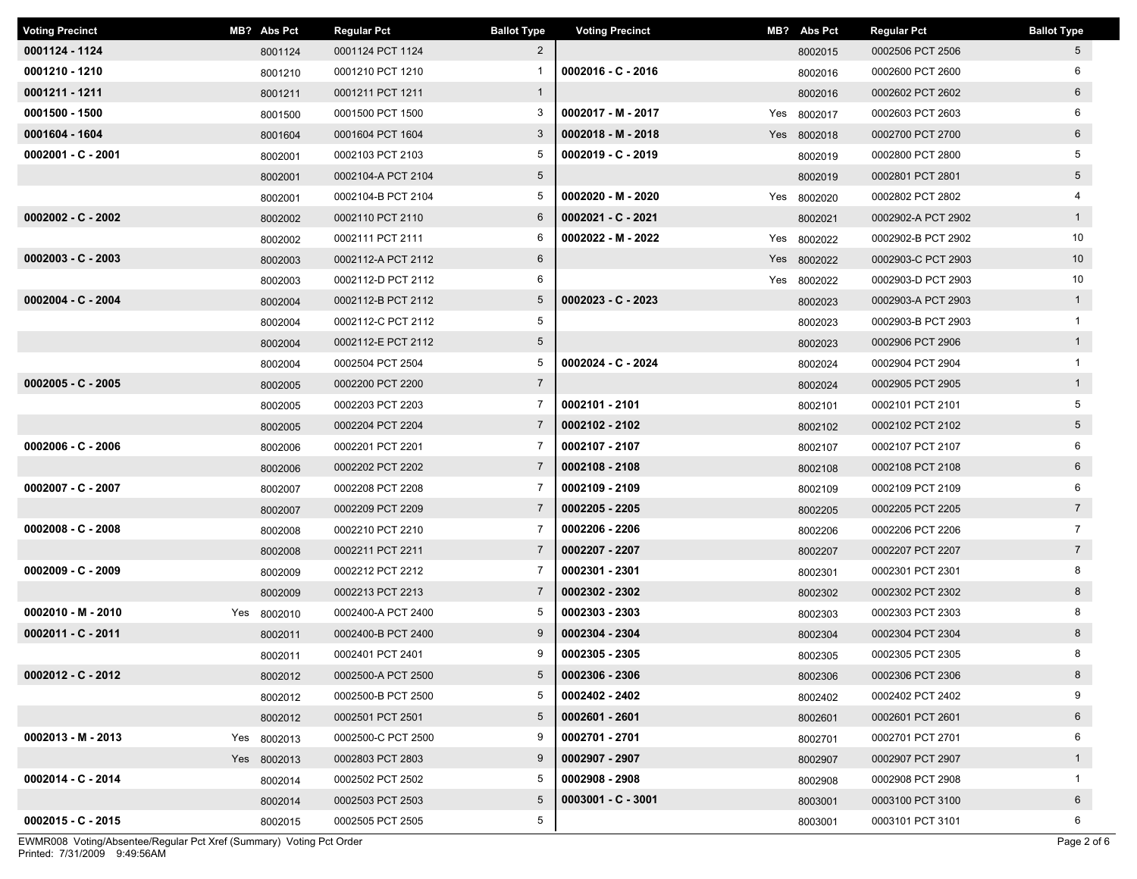| <b>Voting Precinct</b> | MB? Abs Pct | <b>Regular Pct</b> | <b>Ballot Type</b> | <b>Voting Precinct</b> | MB? Abs Pct | <b>Regular Pct</b> | <b>Ballot Type</b> |
|------------------------|-------------|--------------------|--------------------|------------------------|-------------|--------------------|--------------------|
| 0001124 - 1124         | 8001124     | 0001124 PCT 1124   | $\overline{2}$     |                        | 8002015     | 0002506 PCT 2506   | 5 <sub>5</sub>     |
| 0001210 - 1210         | 8001210     | 0001210 PCT 1210   | 1                  | 0002016 - C - 2016     | 8002016     | 0002600 PCT 2600   | 6                  |
| 0001211 - 1211         | 8001211     | 0001211 PCT 1211   | $\overline{1}$     |                        | 8002016     | 0002602 PCT 2602   | 6                  |
| 0001500 - 1500         | 8001500     | 0001500 PCT 1500   | 3                  | 0002017 - M - 2017     | Yes 8002017 | 0002603 PCT 2603   | 6                  |
| 0001604 - 1604         | 8001604     | 0001604 PCT 1604   | 3                  | 0002018 - M - 2018     | Yes 8002018 | 0002700 PCT 2700   | $6\overline{6}$    |
| $0002001 - C - 2001$   | 8002001     | 0002103 PCT 2103   | 5                  | $0002019 - C - 2019$   | 8002019     | 0002800 PCT 2800   | 5                  |
|                        | 8002001     | 0002104-A PCT 2104 | $5\overline{)}$    |                        | 8002019     | 0002801 PCT 2801   | 5 <sub>5</sub>     |
|                        | 8002001     | 0002104-B PCT 2104 | 5                  | 0002020 - M - 2020     | Yes 8002020 | 0002802 PCT 2802   | 4                  |
| $0002002 - C - 2002$   | 8002002     | 0002110 PCT 2110   | 6                  | 0002021 - C - 2021     | 8002021     | 0002902-A PCT 2902 | $\mathbf{1}$       |
|                        | 8002002     | 0002111 PCT 2111   | 6                  | 0002022 - M - 2022     | Yes 8002022 | 0002902-B PCT 2902 | 10                 |
| $0002003 - C - 2003$   | 8002003     | 0002112-A PCT 2112 | 6                  |                        | Yes 8002022 | 0002903-C PCT 2903 | 10                 |
|                        | 8002003     | 0002112-D PCT 2112 | 6                  |                        | Yes 8002022 | 0002903-D PCT 2903 | 10                 |
| $0002004 - C - 2004$   | 8002004     | 0002112-B PCT 2112 | $5\overline{)}$    | $0002023 - C - 2023$   | 8002023     | 0002903-A PCT 2903 | 1                  |
|                        | 8002004     | 0002112-C PCT 2112 | 5                  |                        | 8002023     | 0002903-B PCT 2903 | $\mathbf{1}$       |
|                        | 8002004     | 0002112-E PCT 2112 | $5\overline{)}$    |                        | 8002023     | 0002906 PCT 2906   | $\mathbf{1}$       |
|                        | 8002004     | 0002504 PCT 2504   | 5                  | 0002024 - C - 2024     | 8002024     | 0002904 PCT 2904   |                    |
| $0002005 - C - 2005$   | 8002005     | 0002200 PCT 2200   | $\overline{7}$     |                        | 8002024     | 0002905 PCT 2905   | $\mathbf{1}$       |
|                        | 8002005     | 0002203 PCT 2203   | $\overline{7}$     | 0002101 - 2101         | 8002101     | 0002101 PCT 2101   | 5                  |
|                        | 8002005     | 0002204 PCT 2204   | $7\overline{ }$    | 0002102 - 2102         | 8002102     | 0002102 PCT 2102   | 5 <sub>5</sub>     |
| $0002006 - C - 2006$   | 8002006     | 0002201 PCT 2201   | 7                  | 0002107 - 2107         | 8002107     | 0002107 PCT 2107   | 6                  |
|                        | 8002006     | 0002202 PCT 2202   | $\overline{7}$     | 0002108 - 2108         | 8002108     | 0002108 PCT 2108   | $6\overline{6}$    |
| $0002007 - C - 2007$   | 8002007     | 0002208 PCT 2208   | $\overline{7}$     | 0002109 - 2109         | 8002109     | 0002109 PCT 2109   | 6                  |
|                        | 8002007     | 0002209 PCT 2209   | $\overline{7}$     | 0002205 - 2205         | 8002205     | 0002205 PCT 2205   | $7\overline{ }$    |
| $0002008 - C - 2008$   | 8002008     | 0002210 PCT 2210   | $\overline{7}$     | 0002206 - 2206         | 8002206     | 0002206 PCT 2206   | $\overline{7}$     |
|                        | 8002008     | 0002211 PCT 2211   | $7\overline{ }$    | 0002207 - 2207         | 8002207     | 0002207 PCT 2207   | $7\overline{ }$    |
| $0002009 - C - 2009$   | 8002009     | 0002212 PCT 2212   | 7                  | 0002301 - 2301         | 8002301     | 0002301 PCT 2301   | 8                  |
|                        | 8002009     | 0002213 PCT 2213   | $\overline{7}$     | 0002302 - 2302         | 8002302     | 0002302 PCT 2302   | 8                  |
| $0002010 - M - 2010$   | Yes 8002010 | 0002400-A PCT 2400 | 5                  | 0002303 - 2303         | 8002303     | 0002303 PCT 2303   | 8                  |
| 0002011 - C - 2011     | 8002011     | 0002400-B PCT 2400 | 9                  | 0002304 - 2304         | 8002304     | 0002304 PCT 2304   | 8                  |
|                        | 8002011     | 0002401 PCT 2401   | 9                  | 0002305 - 2305         | 8002305     | 0002305 PCT 2305   | 8                  |
| $0002012 - C - 2012$   | 8002012     | 0002500-A PCT 2500 | 5                  | 0002306 - 2306         | 8002306     | 0002306 PCT 2306   | 8                  |
|                        | 8002012     | 0002500-B PCT 2500 | 5                  | 0002402 - 2402         | 8002402     | 0002402 PCT 2402   | 9                  |
|                        | 8002012     | 0002501 PCT 2501   | 5                  | 0002601 - 2601         | 8002601     | 0002601 PCT 2601   | 6                  |
| $0002013 - M - 2013$   | Yes 8002013 | 0002500-C PCT 2500 | 9                  | 0002701 - 2701         | 8002701     | 0002701 PCT 2701   | 6                  |
|                        | Yes 8002013 | 0002803 PCT 2803   | 9                  | 0002907 - 2907         | 8002907     | 0002907 PCT 2907   | $\mathbf{1}$       |
| 0002014 - C - 2014     | 8002014     | 0002502 PCT 2502   | 5                  | 0002908 - 2908         | 8002908     | 0002908 PCT 2908   | $\mathbf 1$        |
|                        | 8002014     | 0002503 PCT 2503   | $5^{\circ}$        | $0003001 - C - 3001$   | 8003001     | 0003100 PCT 3100   | 6                  |
| $0002015 - C - 2015$   | 8002015     | 0002505 PCT 2505   | 5                  |                        | 8003001     | 0003101 PCT 3101   | 6                  |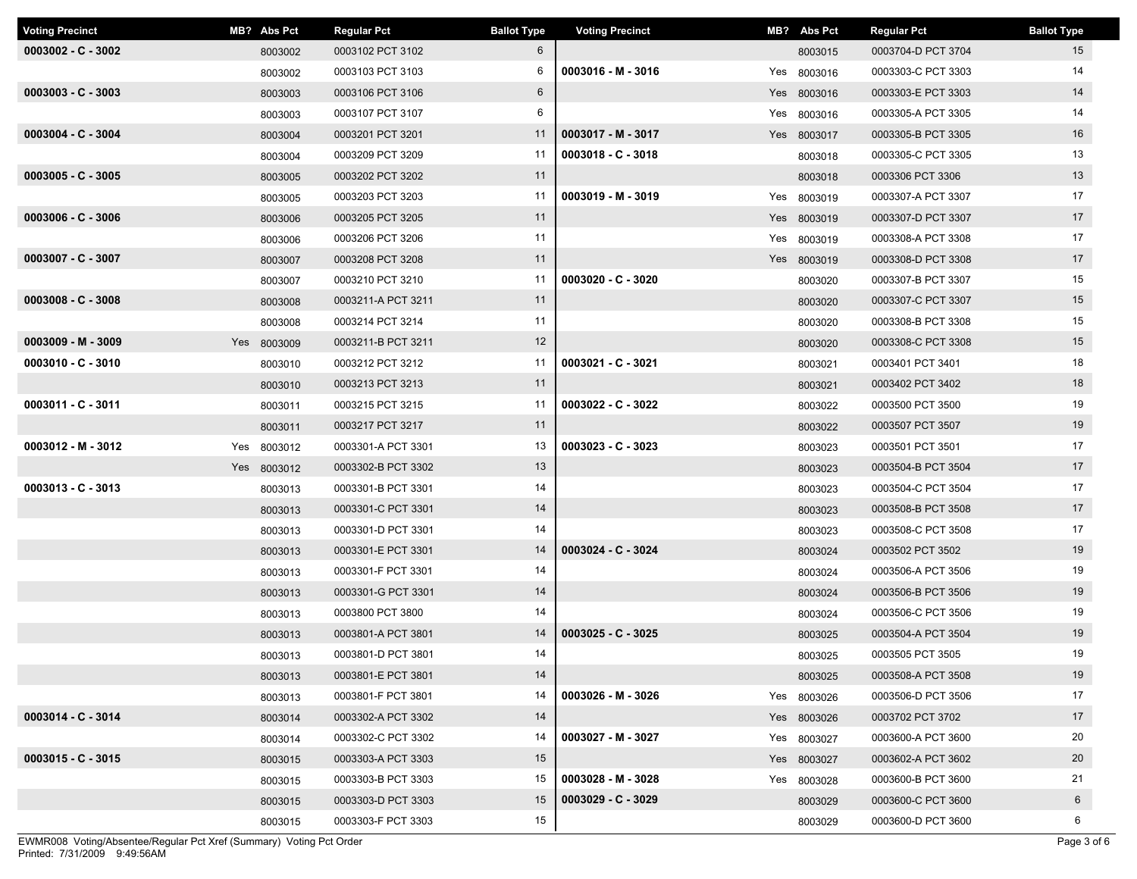| <b>Voting Precinct</b> | MB? Abs Pct | <b>Regular Pct</b> | <b>Ballot Type</b> | <b>Voting Precinct</b> | MB? Abs Pct | <b>Regular Pct</b> | <b>Ballot Type</b> |
|------------------------|-------------|--------------------|--------------------|------------------------|-------------|--------------------|--------------------|
| $0003002 - C - 3002$   | 8003002     | 0003102 PCT 3102   | 6                  |                        | 8003015     | 0003704-D PCT 3704 | 15                 |
|                        | 8003002     | 0003103 PCT 3103   | 6                  | $0003016 - M - 3016$   | Yes 8003016 | 0003303-C PCT 3303 | 14                 |
| $0003003 - C - 3003$   | 8003003     | 0003106 PCT 3106   | $6\phantom{.}6$    |                        | Yes 8003016 | 0003303-E PCT 3303 | 14                 |
|                        | 8003003     | 0003107 PCT 3107   | 6                  |                        | Yes 8003016 | 0003305-A PCT 3305 | 14                 |
| 0003004 - C - 3004     | 8003004     | 0003201 PCT 3201   | 11                 | 0003017 - M - 3017     | Yes 8003017 | 0003305-B PCT 3305 | 16                 |
|                        | 8003004     | 0003209 PCT 3209   | 11                 | $0003018 - C - 3018$   | 8003018     | 0003305-C PCT 3305 | 13                 |
| $0003005 - C - 3005$   | 8003005     | 0003202 PCT 3202   | 11                 |                        | 8003018     | 0003306 PCT 3306   | 13                 |
|                        | 8003005     | 0003203 PCT 3203   | 11                 | $0003019 - M - 3019$   | Yes 8003019 | 0003307-A PCT 3307 | 17                 |
| $0003006 - C - 3006$   | 8003006     | 0003205 PCT 3205   | 11                 |                        | Yes 8003019 | 0003307-D PCT 3307 | 17                 |
|                        | 8003006     | 0003206 PCT 3206   | 11                 |                        | Yes 8003019 | 0003308-A PCT 3308 | 17                 |
| $0003007 - C - 3007$   | 8003007     | 0003208 PCT 3208   | 11                 |                        | Yes 8003019 | 0003308-D PCT 3308 | 17                 |
|                        | 8003007     | 0003210 PCT 3210   | 11                 | $0003020 - C - 3020$   | 8003020     | 0003307-B PCT 3307 | 15                 |
| $0003008 - C - 3008$   | 8003008     | 0003211-A PCT 3211 | 11                 |                        | 8003020     | 0003307-C PCT 3307 | 15                 |
|                        | 8003008     | 0003214 PCT 3214   | 11                 |                        | 8003020     | 0003308-B PCT 3308 | 15                 |
| $0003009 - M - 3009$   | Yes 8003009 | 0003211-B PCT 3211 | 12                 |                        | 8003020     | 0003308-C PCT 3308 | 15                 |
| $0003010 - C - 3010$   | 8003010     | 0003212 PCT 3212   | 11                 | $0003021 - C - 3021$   | 8003021     | 0003401 PCT 3401   | 18                 |
|                        | 8003010     | 0003213 PCT 3213   | 11                 |                        | 8003021     | 0003402 PCT 3402   | 18                 |
| 0003011 - C - 3011     | 8003011     | 0003215 PCT 3215   | 11                 | $0003022 - C - 3022$   | 8003022     | 0003500 PCT 3500   | 19                 |
|                        | 8003011     | 0003217 PCT 3217   | 11                 |                        | 8003022     | 0003507 PCT 3507   | 19                 |
| $0003012 - M - 3012$   | Yes 8003012 | 0003301-A PCT 3301 | 13                 | $0003023 - C - 3023$   | 8003023     | 0003501 PCT 3501   | 17                 |
|                        | Yes 8003012 | 0003302-B PCT 3302 | 13                 |                        | 8003023     | 0003504-B PCT 3504 | 17                 |
| $0003013 - C - 3013$   | 8003013     | 0003301-B PCT 3301 | 14                 |                        | 8003023     | 0003504-C PCT 3504 | 17                 |
|                        | 8003013     | 0003301-C PCT 3301 | 14                 |                        | 8003023     | 0003508-B PCT 3508 | 17                 |
|                        | 8003013     | 0003301-D PCT 3301 | 14                 |                        | 8003023     | 0003508-C PCT 3508 | 17                 |
|                        | 8003013     | 0003301-E PCT 3301 | 14                 | $0003024 - C - 3024$   | 8003024     | 0003502 PCT 3502   | 19                 |
|                        | 8003013     | 0003301-F PCT 3301 | 14                 |                        | 8003024     | 0003506-A PCT 3506 | 19                 |
|                        | 8003013     | 0003301-G PCT 3301 | 14                 |                        | 8003024     | 0003506-B PCT 3506 | 19                 |
|                        | 8003013     | 0003800 PCT 3800   | 14                 |                        | 8003024     | 0003506-C PCT 3506 | 19                 |
|                        | 8003013     | 0003801-A PCT 3801 | 14                 | $0003025 - C - 3025$   | 8003025     | 0003504-A PCT 3504 | 19                 |
|                        | 8003013     | 0003801-D PCT 3801 | 14                 |                        | 8003025     | 0003505 PCT 3505   | 19                 |
|                        | 8003013     | 0003801-E PCT 3801 | 14                 |                        | 8003025     | 0003508-A PCT 3508 | 19                 |
|                        | 8003013     | 0003801-F PCT 3801 | 14                 | $0003026 - M - 3026$   | Yes 8003026 | 0003506-D PCT 3506 | 17                 |
| 0003014 - C - 3014     | 8003014     | 0003302-A PCT 3302 | 14                 |                        | Yes 8003026 | 0003702 PCT 3702   | 17                 |
|                        | 8003014     | 0003302-C PCT 3302 | 14                 | $0003027 - M - 3027$   | Yes 8003027 | 0003600-A PCT 3600 | 20                 |
| $0003015 - C - 3015$   | 8003015     | 0003303-A PCT 3303 | 15                 |                        | Yes 8003027 | 0003602-A PCT 3602 | 20                 |
|                        | 8003015     | 0003303-B PCT 3303 | 15                 | $0003028 - M - 3028$   | Yes 8003028 | 0003600-B PCT 3600 | 21                 |
|                        | 8003015     | 0003303-D PCT 3303 | 15                 | $0003029 - C - 3029$   | 8003029     | 0003600-C PCT 3600 | 6                  |
|                        | 8003015     | 0003303-F PCT 3303 | 15                 |                        | 8003029     | 0003600-D PCT 3600 | 6                  |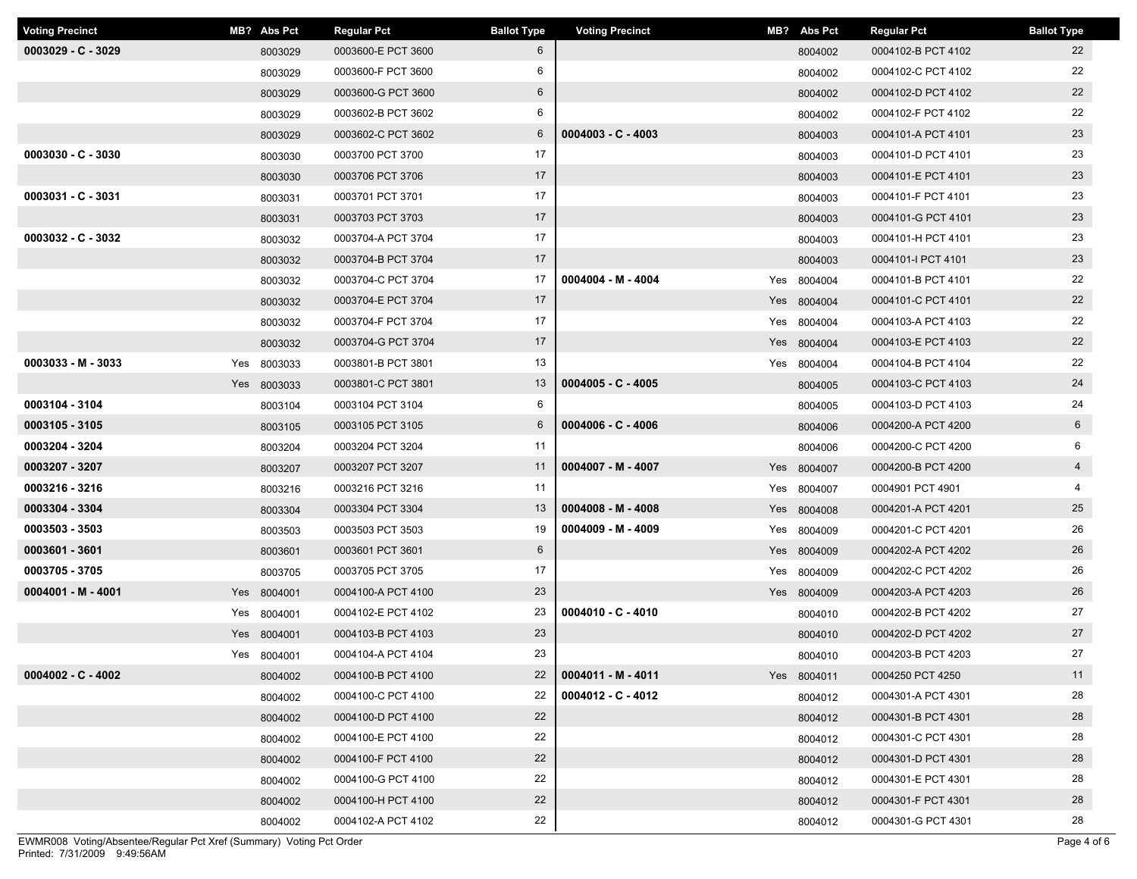| <b>Voting Precinct</b> | MB? Abs Pct | <b>Regular Pct</b> | <b>Ballot Type</b> | <b>Voting Precinct</b> | MB? Abs Pct | <b>Regular Pct</b> | <b>Ballot Type</b> |
|------------------------|-------------|--------------------|--------------------|------------------------|-------------|--------------------|--------------------|
| 0003029 - C - 3029     | 8003029     | 0003600-E PCT 3600 | $6\overline{6}$    |                        | 8004002     | 0004102-B PCT 4102 | 22                 |
|                        | 8003029     | 0003600-F PCT 3600 | 6                  |                        | 8004002     | 0004102-C PCT 4102 | 22                 |
|                        | 8003029     | 0003600-G PCT 3600 | $6\overline{6}$    |                        | 8004002     | 0004102-D PCT 4102 | 22                 |
|                        | 8003029     | 0003602-B PCT 3602 | 6                  |                        | 8004002     | 0004102-F PCT 4102 | 22                 |
|                        | 8003029     | 0003602-C PCT 3602 | $6\overline{6}$    | $0004003 - C - 4003$   | 8004003     | 0004101-A PCT 4101 | 23                 |
| $0003030 - C - 3030$   | 8003030     | 0003700 PCT 3700   | 17                 |                        | 8004003     | 0004101-D PCT 4101 | 23                 |
|                        | 8003030     | 0003706 PCT 3706   | 17                 |                        | 8004003     | 0004101-E PCT 4101 | 23                 |
| 0003031 - C - 3031     | 8003031     | 0003701 PCT 3701   | 17                 |                        | 8004003     | 0004101-F PCT 4101 | 23                 |
|                        | 8003031     | 0003703 PCT 3703   | 17                 |                        | 8004003     | 0004101-G PCT 4101 | 23                 |
| $0003032 - C - 3032$   | 8003032     | 0003704-A PCT 3704 | 17                 |                        | 8004003     | 0004101-H PCT 4101 | 23                 |
|                        | 8003032     | 0003704-B PCT 3704 | 17                 |                        | 8004003     | 0004101-I PCT 4101 | 23                 |
|                        | 8003032     | 0003704-C PCT 3704 | 17                 | 0004004 - M - 4004     | Yes 8004004 | 0004101-B PCT 4101 | 22                 |
|                        | 8003032     | 0003704-E PCT 3704 | 17                 |                        | Yes 8004004 | 0004101-C PCT 4101 | 22                 |
|                        | 8003032     | 0003704-F PCT 3704 | 17                 |                        | Yes 8004004 | 0004103-A PCT 4103 | 22                 |
|                        | 8003032     | 0003704-G PCT 3704 | 17                 |                        | Yes 8004004 | 0004103-E PCT 4103 | 22                 |
| $0003033 - M - 3033$   | Yes 8003033 | 0003801-B PCT 3801 | 13                 |                        | Yes 8004004 | 0004104-B PCT 4104 | 22                 |
|                        | Yes 8003033 | 0003801-C PCT 3801 | 13                 | $0004005 - C - 4005$   | 8004005     | 0004103-C PCT 4103 | 24                 |
| 0003104 - 3104         | 8003104     | 0003104 PCT 3104   | 6                  |                        | 8004005     | 0004103-D PCT 4103 | 24                 |
| 0003105 - 3105         | 8003105     | 0003105 PCT 3105   | 6                  | $0004006 - C - 4006$   | 8004006     | 0004200-A PCT 4200 | $6\overline{6}$    |
| 0003204 - 3204         | 8003204     | 0003204 PCT 3204   | 11                 |                        | 8004006     | 0004200-C PCT 4200 | 6                  |
| 0003207 - 3207         | 8003207     | 0003207 PCT 3207   | 11                 | $0004007 - M - 4007$   | Yes 8004007 | 0004200-B PCT 4200 | $\overline{4}$     |
| 0003216 - 3216         | 8003216     | 0003216 PCT 3216   | 11                 |                        | Yes 8004007 | 0004901 PCT 4901   | 4                  |
| 0003304 - 3304         | 8003304     | 0003304 PCT 3304   | 13                 | $0004008 - M - 4008$   | Yes 8004008 | 0004201-A PCT 4201 | 25                 |
| 0003503 - 3503         | 8003503     | 0003503 PCT 3503   | 19                 | $0004009 - M - 4009$   | Yes 8004009 | 0004201-C PCT 4201 | 26                 |
| 0003601 - 3601         | 8003601     | 0003601 PCT 3601   | 6                  |                        | Yes 8004009 | 0004202-A PCT 4202 | 26                 |
| 0003705 - 3705         | 8003705     | 0003705 PCT 3705   | 17                 |                        | Yes 8004009 | 0004202-C PCT 4202 | 26                 |
| 0004001 - M - 4001     | Yes 8004001 | 0004100-A PCT 4100 | 23                 |                        | Yes 8004009 | 0004203-A PCT 4203 | 26                 |
|                        | Yes 8004001 | 0004102-E PCT 4102 | 23                 | $0004010 - C - 4010$   | 8004010     | 0004202-B PCT 4202 | 27                 |
|                        | Yes 8004001 | 0004103-B PCT 4103 | 23                 |                        | 8004010     | 0004202-D PCT 4202 | 27                 |
|                        | Yes 8004001 | 0004104-A PCT 4104 | 23                 |                        | 8004010     | 0004203-B PCT 4203 | 27                 |
| $0004002 - C - 4002$   | 8004002     | 0004100-B PCT 4100 | 22                 | $0004011 - M - 4011$   | Yes 8004011 | 0004250 PCT 4250   | 11                 |
|                        | 8004002     | 0004100-C PCT 4100 | 22                 | $0004012 - C - 4012$   | 8004012     | 0004301-A PCT 4301 | 28                 |
|                        | 8004002     | 0004100-D PCT 4100 | 22                 |                        | 8004012     | 0004301-B PCT 4301 | 28                 |
|                        | 8004002     | 0004100-E PCT 4100 | 22                 |                        | 8004012     | 0004301-C PCT 4301 | 28                 |
|                        | 8004002     | 0004100-F PCT 4100 | 22                 |                        | 8004012     | 0004301-D PCT 4301 | 28                 |
|                        | 8004002     | 0004100-G PCT 4100 | 22                 |                        | 8004012     | 0004301-E PCT 4301 | 28                 |
|                        | 8004002     | 0004100-H PCT 4100 | 22                 |                        | 8004012     | 0004301-F PCT 4301 | 28                 |
|                        | 8004002     | 0004102-A PCT 4102 | 22                 |                        | 8004012     | 0004301-G PCT 4301 | 28                 |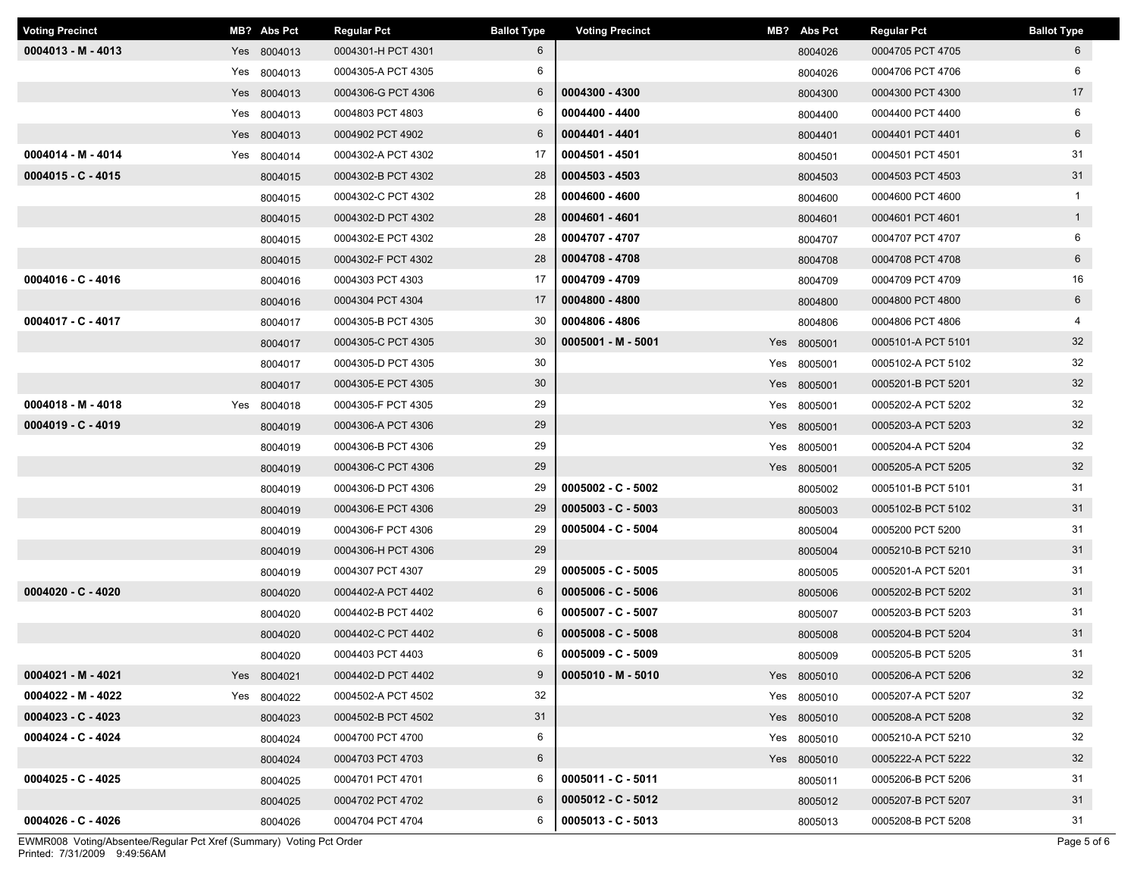| <b>Voting Precinct</b> | MB? Abs Pct | <b>Regular Pct</b> | <b>Ballot Type</b> | <b>Voting Precinct</b> | MB? Abs Pct | <b>Regular Pct</b> | <b>Ballot Type</b> |
|------------------------|-------------|--------------------|--------------------|------------------------|-------------|--------------------|--------------------|
| $0004013 - M - 4013$   | Yes 8004013 | 0004301-H PCT 4301 | 6                  |                        | 8004026     | 0004705 PCT 4705   | 6                  |
|                        | Yes 8004013 | 0004305-A PCT 4305 | 6                  |                        | 8004026     | 0004706 PCT 4706   | 6                  |
|                        | Yes 8004013 | 0004306-G PCT 4306 | 6                  | 0004300 - 4300         | 8004300     | 0004300 PCT 4300   | 17                 |
|                        | Yes 8004013 | 0004803 PCT 4803   | 6                  | 0004400 - 4400         | 8004400     | 0004400 PCT 4400   | 6                  |
|                        | Yes 8004013 | 0004902 PCT 4902   | 6                  | 0004401 - 4401         | 8004401     | 0004401 PCT 4401   | $6\overline{6}$    |
| 0004014 - M - 4014     | Yes 8004014 | 0004302-A PCT 4302 | 17                 | 0004501 - 4501         | 8004501     | 0004501 PCT 4501   | 31                 |
| $0004015 - C - 4015$   | 8004015     | 0004302-B PCT 4302 | 28                 | 0004503 - 4503         | 8004503     | 0004503 PCT 4503   | 31                 |
|                        | 8004015     | 0004302-C PCT 4302 | 28                 | 0004600 - 4600         | 8004600     | 0004600 PCT 4600   | 1                  |
|                        | 8004015     | 0004302-D PCT 4302 | 28                 | 0004601 - 4601         | 8004601     | 0004601 PCT 4601   | $\mathbf{1}$       |
|                        | 8004015     | 0004302-E PCT 4302 | 28                 | 0004707 - 4707         | 8004707     | 0004707 PCT 4707   | 6                  |
|                        | 8004015     | 0004302-F PCT 4302 | 28                 | 0004708 - 4708         | 8004708     | 0004708 PCT 4708   | 6                  |
| $0004016 - C - 4016$   | 8004016     | 0004303 PCT 4303   | 17                 | 0004709 - 4709         | 8004709     | 0004709 PCT 4709   | 16                 |
|                        | 8004016     | 0004304 PCT 4304   | 17                 | 0004800 - 4800         | 8004800     | 0004800 PCT 4800   | 6                  |
| 0004017 - C - 4017     | 8004017     | 0004305-B PCT 4305 | 30                 | 0004806 - 4806         | 8004806     | 0004806 PCT 4806   | 4                  |
|                        | 8004017     | 0004305-C PCT 4305 | 30                 | $0005001 - M - 5001$   | Yes 8005001 | 0005101-A PCT 5101 | 32                 |
|                        | 8004017     | 0004305-D PCT 4305 | 30                 |                        | Yes 8005001 | 0005102-A PCT 5102 | 32                 |
|                        | 8004017     | 0004305-E PCT 4305 | 30                 |                        | Yes 8005001 | 0005201-B PCT 5201 | 32                 |
| $0004018 - M - 4018$   | Yes 8004018 | 0004305-F PCT 4305 | 29                 |                        | Yes 8005001 | 0005202-A PCT 5202 | 32                 |
| 0004019 - C - 4019     | 8004019     | 0004306-A PCT 4306 | 29                 |                        | Yes 8005001 | 0005203-A PCT 5203 | 32                 |
|                        | 8004019     | 0004306-B PCT 4306 | 29                 |                        | Yes 8005001 | 0005204-A PCT 5204 | 32                 |
|                        | 8004019     | 0004306-C PCT 4306 | 29                 |                        | Yes 8005001 | 0005205-A PCT 5205 | 32                 |
|                        | 8004019     | 0004306-D PCT 4306 | 29                 | $0005002 - C - 5002$   | 8005002     | 0005101-B PCT 5101 | 31                 |
|                        | 8004019     | 0004306-E PCT 4306 | 29                 | $0005003 - C - 5003$   | 8005003     | 0005102-B PCT 5102 | 31                 |
|                        | 8004019     | 0004306-F PCT 4306 | 29                 | $0005004 - C - 5004$   | 8005004     | 0005200 PCT 5200   | 31                 |
|                        | 8004019     | 0004306-H PCT 4306 | 29                 |                        | 8005004     | 0005210-B PCT 5210 | 31                 |
|                        | 8004019     | 0004307 PCT 4307   | 29                 | $0005005 - C - 5005$   | 8005005     | 0005201-A PCT 5201 | 31                 |
| $0004020 - C - 4020$   | 8004020     | 0004402-A PCT 4402 | 6                  | $0005006 - C - 5006$   | 8005006     | 0005202-B PCT 5202 | 31                 |
|                        | 8004020     | 0004402-B PCT 4402 | 6                  | $0005007 - C - 5007$   | 8005007     | 0005203-B PCT 5203 | 31                 |
|                        | 8004020     | 0004402-C PCT 4402 | 6                  | $0005008 - C - 5008$   | 8005008     | 0005204-B PCT 5204 | 31                 |
|                        | 8004020     | 0004403 PCT 4403   | 6                  | $0005009 - C - 5009$   | 8005009     | 0005205-B PCT 5205 | 31                 |
| 0004021 - M - 4021     | Yes 8004021 | 0004402-D PCT 4402 | 9                  | $0005010 - M - 5010$   | Yes 8005010 | 0005206-A PCT 5206 | 32                 |
| $0004022 - M - 4022$   | Yes 8004022 | 0004502-A PCT 4502 | 32                 |                        | Yes 8005010 | 0005207-A PCT 5207 | 32                 |
| $0004023 - C - 4023$   | 8004023     | 0004502-B PCT 4502 | 31                 |                        | Yes 8005010 | 0005208-A PCT 5208 | 32                 |
| $0004024 - C - 4024$   | 8004024     | 0004700 PCT 4700   | 6                  |                        | Yes 8005010 | 0005210-A PCT 5210 | 32                 |
|                        | 8004024     | 0004703 PCT 4703   | 6                  |                        | Yes 8005010 | 0005222-A PCT 5222 | 32                 |
| $0004025 - C - 4025$   | 8004025     | 0004701 PCT 4701   | 6                  | $0005011 - C - 5011$   | 8005011     | 0005206-B PCT 5206 | 31                 |
|                        | 8004025     | 0004702 PCT 4702   | 6                  | $0005012 - C - 5012$   | 8005012     | 0005207-B PCT 5207 | 31                 |
| 0004026 - C - 4026     | 8004026     | 0004704 PCT 4704   | 6                  | $0005013 - C - 5013$   | 8005013     | 0005208-B PCT 5208 | 31                 |